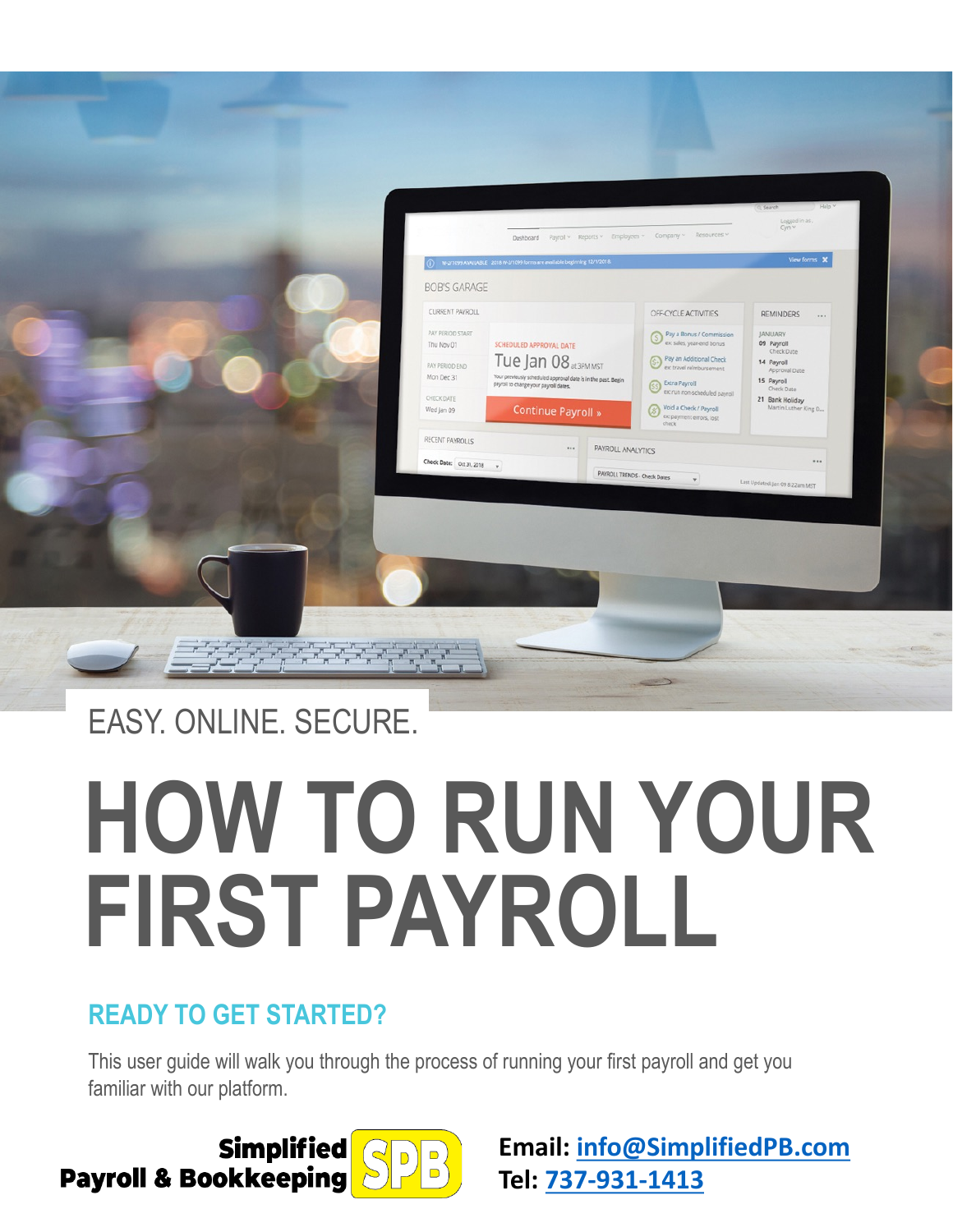

## EASY. ONLINE. SECURE.

# **HOW TO RUN YOUR FIRST PAYROLL**

### **READY TO GET STARTED?**

This user guide will walk you through the process of running your first payroll and get you familiar with our platform.

**Simplified Payroll & Bookkeeping** 

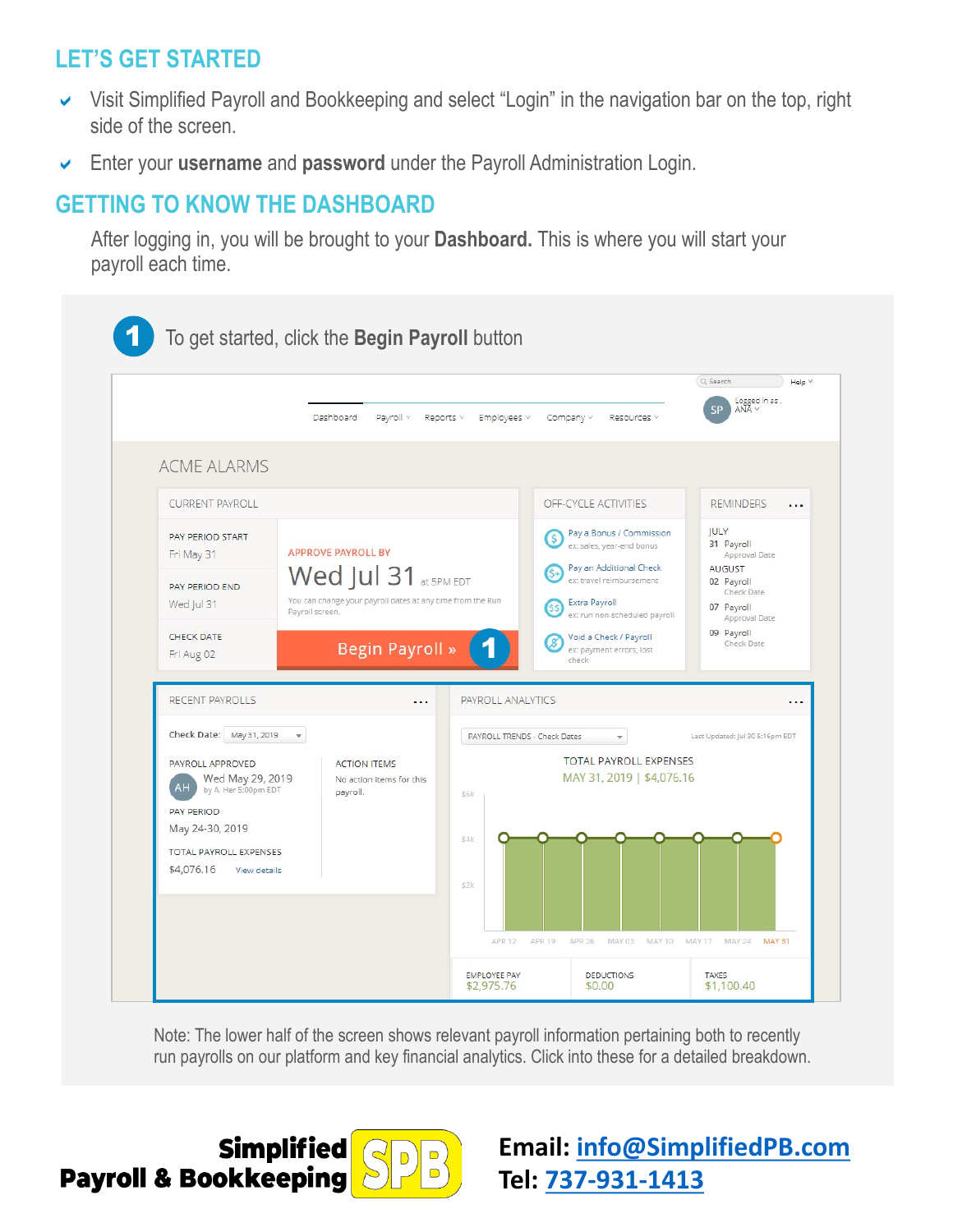#### **LET'S GET STARTED**

- Visit Simplified Payroll and Bookkeeping and select "Login" in the navigation bar on the top, right side of the screen.
- a Enter your **username** and **password** under the Payroll Administration Login.

#### **GETTING TO KNOW THE DASHBOARD**

After logging in, you will be brought to your **Dashboard.** This is where you will start your payroll each time.



Note: The lower half of the screen shows relevant payroll information pertaining both to recently run payrolls on our platform and key financial analytics. Click into these for a detailed breakdown.

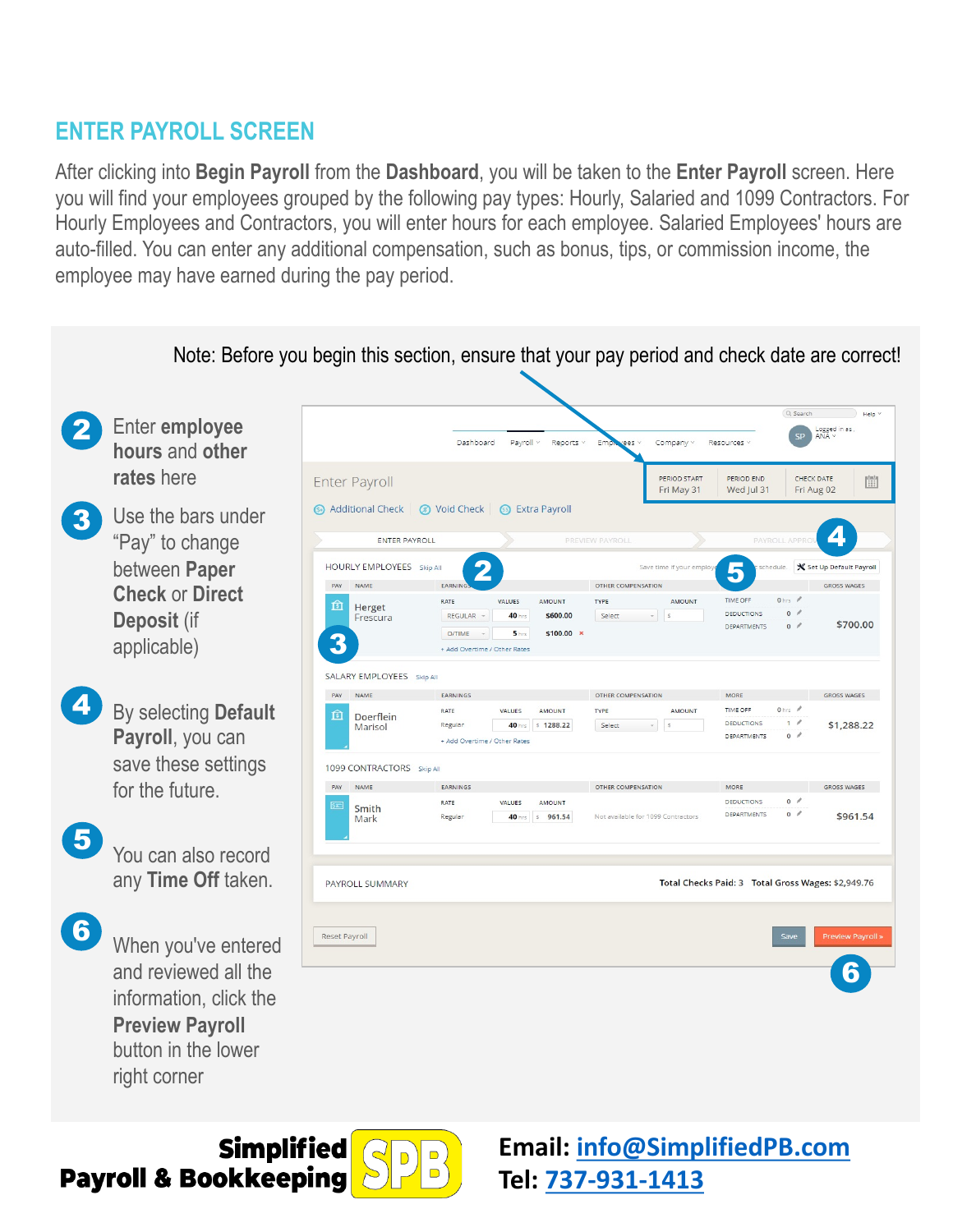#### **ENTER PAYROLL SCREEN**

After clicking into **Begin Payroll** from the **Dashboard**, you will be taken to the **Enter Payroll** screen. Here you will find your employees grouped by the following pay types: Hourly, Salaried and 1099 Contractors. For Hourly Employees and Contractors, you will enter hours for each employee. Salaried Employees' hours are auto-filled. You can enter any additional compensation, such as bonus, tips, or commission income, the employee may have earned during the pay period.



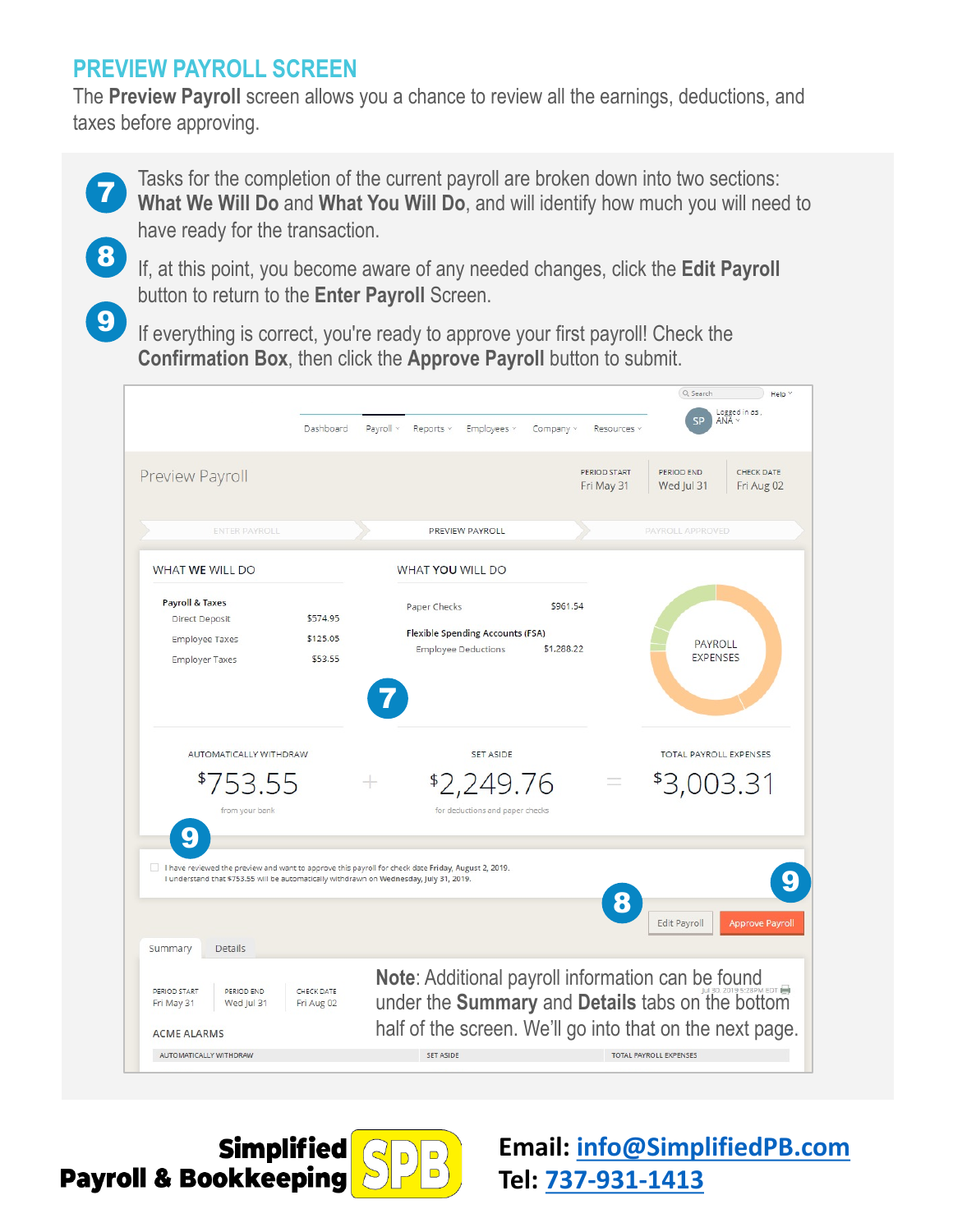#### **PREVIEW PAYROLL SCREEN**

The **Preview Payroll** screen allows you a chance to review all the earnings, deductions, and taxes before approving.

Tasks for the completion of the current payroll are broken down into two sections: **What We Will Do** and **What You Will Do**, and will identify how much you will need to have ready for the transaction.

8

9

7

If, at this point, you become aware of any needed changes, click the **Edit Payroll** button to return to the **Enter Payroll** Screen.

If everything is correct, you're ready to approve your first payroll! Check the **Confirmation Box, then click the Approve Payroll button to submit.** 



**Simplified Payroll & Bookkeeping** 



**Email: [info@SimplifiedPB.com](mailto:info@SimplifiedPB.com)**

**Tel: [737-931-1413](tel:737-931-1413)**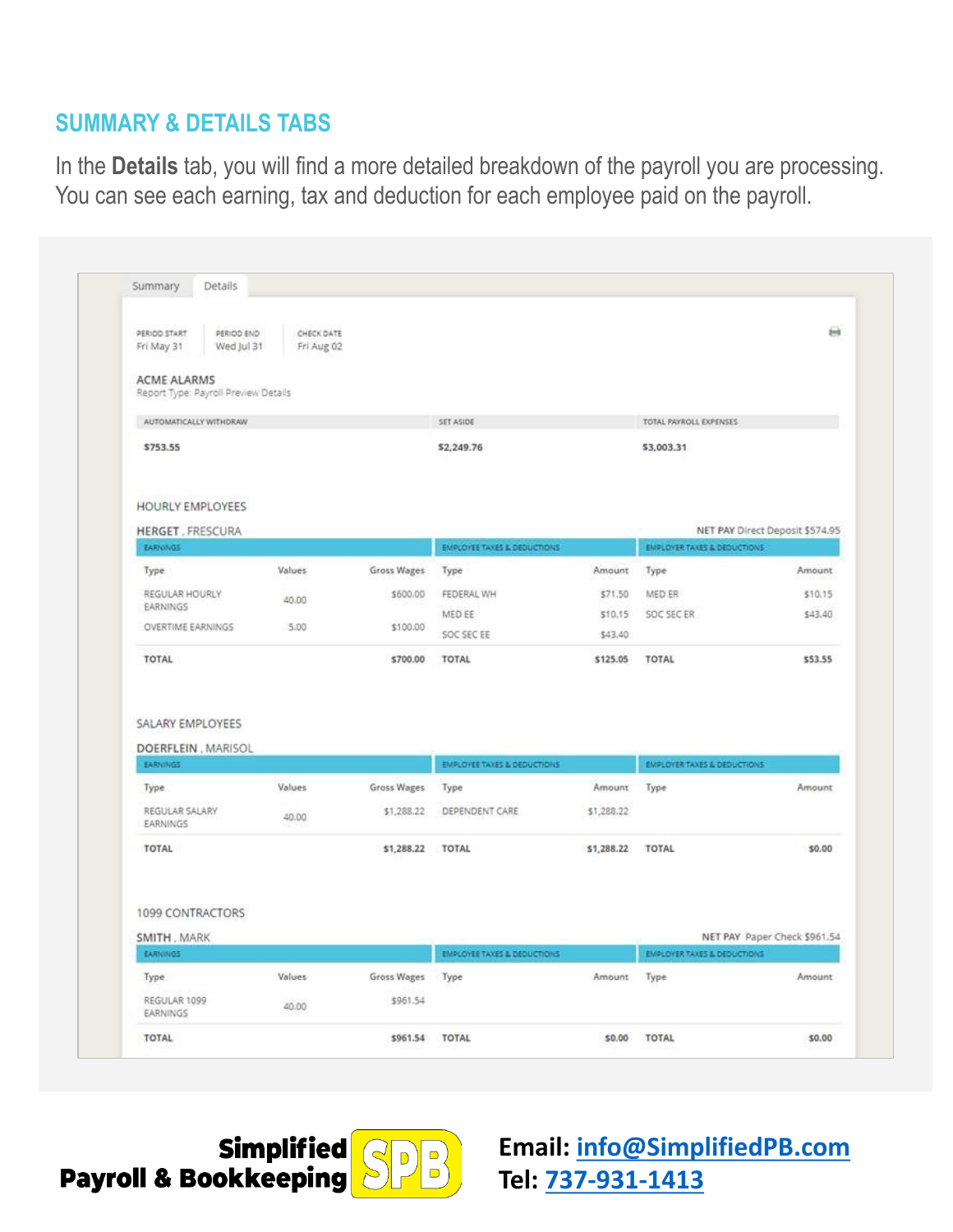#### **SUMMARY & DETAILS TABS**

In the **Details** tab, you will find a more detailed breakdown of the payroll you are processing. You can see each earning, tax and deduction for each employee paid on the payroll.

| PERIOD START<br>PERIOD END<br>Fri May 31<br>Wed Jul 31               | CHECK DATE<br>Fri Aug 02 |                           |                                                                  |                      |                                                |                                                                       |
|----------------------------------------------------------------------|--------------------------|---------------------------|------------------------------------------------------------------|----------------------|------------------------------------------------|-----------------------------------------------------------------------|
| <b>ACME ALARMS</b>                                                   |                          |                           |                                                                  |                      |                                                |                                                                       |
| Report Type: Payroll Preview Details                                 |                          |                           |                                                                  |                      |                                                |                                                                       |
| AUTOMATICALLY WITHDRAW                                               |                          |                           | SET ASIDE                                                        |                      | TOTAL PAYROLL EXPENSES                         |                                                                       |
| \$753.55                                                             |                          |                           | \$2,249.76                                                       |                      | \$3,003.31                                     |                                                                       |
| HOURLY EMPLOYEES                                                     |                          |                           |                                                                  |                      |                                                |                                                                       |
| <b>HERGET, FRESCURA</b>                                              |                          |                           |                                                                  |                      |                                                | NET PAY Direct Deposit \$574.95                                       |
| EARNINGS                                                             |                          |                           | EMPLOYEE TAXES & DEDUCTIONS                                      |                      | <b>EMPLOYER TAXES &amp; DEDUCTIONS</b>         |                                                                       |
| Type                                                                 | Values                   | Gross Wages               | Type                                                             | Amount               | Type                                           | Amount                                                                |
| REGULAR HOURLY                                                       | 40.00                    | \$600.00                  | FEDERAL WH                                                       | \$71.50              | MED ER                                         | \$10.15                                                               |
| EARNINGS                                                             |                          |                           | MED EE                                                           | \$10.15              | SOC SEC ER                                     | \$43.40                                                               |
| OVERTIME EARNINGS                                                    | 5.00                     | \$100.00                  | SOC SEC EE                                                       | \$43,40              |                                                |                                                                       |
|                                                                      |                          |                           |                                                                  |                      |                                                |                                                                       |
| TOTAL                                                                |                          | \$700.00                  | <b>TOTAL</b>                                                     | \$125.05             | <b>TOTAL</b>                                   |                                                                       |
| DOERFLEIN, MARISOL<br>EARNINGS<br>Type<br>REGULAR SALARY<br>EARNINGS | Values<br>40.00          | Gross Wages<br>\$1,288.22 | <b>EMPLOYEE TAXES &amp; DEDUCTIONS</b><br>Type<br>DEPENDENT CARE | Amount<br>\$1,288.22 | <b>EMPLOYER TAXES &amp; DEDUCTIONS</b><br>Type |                                                                       |
| SALARY EMPLOYEES<br><b>TOTAL</b><br>1099 CONTRACTORS<br>SMITH, MARK  |                          | \$1,288.22 TOTAL          |                                                                  | \$1,288.22 TOTAL     |                                                |                                                                       |
| EARNINGS                                                             |                          |                           | <b>EMPLOYEE TAXES &amp; DEDUCTIONS</b>                           |                      | <b>EMPLOYER TAXES &amp; DEDUCTIONS</b>         |                                                                       |
| Type                                                                 | Values                   | Gross Wages               | Type                                                             | Amount               | Type                                           |                                                                       |
| REGULAR 1099<br>EARNINGS                                             | 40.00                    | \$961.54                  |                                                                  |                      |                                                | \$53.55<br>Amount<br>\$0.00<br>NET PAY Paper Check \$961.54<br>Amount |